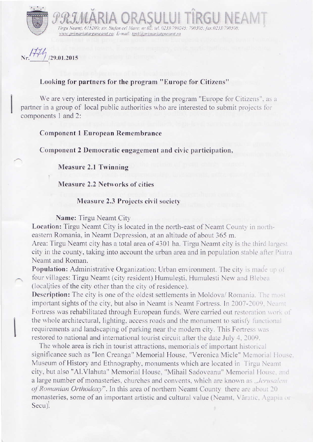

 $111$  $/29.01.2015$ 

## Looking for partners for the program "Europe for Citizens"

www.primariatarguneamt.ro: E-mail: tgnt@primariatgneamt.ro

We are very interested in participating in the program "Europe for Citizens", as a partner in a group of local public authorities who are interested to submit projects for components I and 2:

 $\mathcal{P}\mathcal{R}\mathcal{J}\mathcal{M}$ ARIA ORASULUI TIRGUNEAI

Component 1European Remembrance

Component 2Democratic engagement and civic participation,

Measure 2.1 Twinning

Measure 2.2 Networks of cities

## Measure 2.3 Projects civil society

Name: Tirgu Neamt City

Location: Tirgu Neamt City is located in the north-east of Neamt County in northeastern Romania, in Neamt Depression, at an altitude of about 365 m.

Area: Tirgu Neamt city has a total area of 4301 ha. Tirgu Neamt city is the third largest city in the county, taking into account the urban area and in population stable after Piatra Neamt and Roman.

Population: Administrative Organization: Urban environment. The city is made up of four villages: Tirgu Neamt (city resident) Humulești, Humulesti New and Blebea (localities of the city other than the city of residence).

Description: The city is one of the oldest settlements in Moldova/ Romania. The most important sights of the city, but also in Neamt is Neamt Fortress. In 2007-2009, Neamt Fortress was rehabilitated through European funds. Were carried out restoration work of the whole architectural, lighting, access roads and the monument to satisfy functional requirements and landscaping of parking near the modern city. This Fortress was restored to national and international tourist circuit after the date July 4, 2009.

The whole area is rich in tourist attractions, memorials of important historical significance such as "Ion Creanga" Memorial House, "Veronica Micle" Memorial House. Museum of History and Ethnography, monuments which are located in Tirgu Neamt city, but also "Al.Vlahuta" Memorial House, "Mihail Sadoveanu" Memorial House, and a large number of monasteries, churches and convents, which are known as ...Jerusalem of Romanian Orthodoxy". In this area of northern Neamt County there are about 20 monasteries, some of an important artistic and cultural value (Neamt, Văratic, Agapia or Secu).